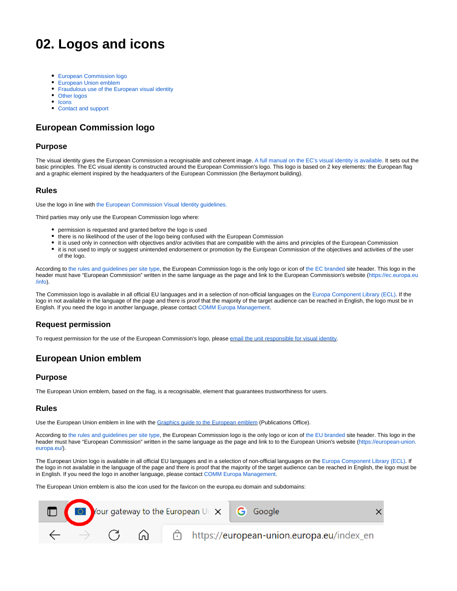# **02. Logos and icons**

- [European Commission logo](#page-0-0)
- [European Union emblem](#page-0-1)
- [Fraudulous use of the European visual identity](#page-1-0)
- [Other logos](#page-1-1)
- [Icons](#page-1-2)
- [Contact and support](#page-1-3)

# <span id="page-0-0"></span>**European Commission logo**

#### **Purpose**

The visual identity gives the European Commission a recognisable and coherent image[. A full manual on the EC's visual identity is available.](https://ec.europa.eu/info/resources-partners/european-commission-visual-identity_en) It sets out the basic principles. The EC visual identity is constructed around the European Commission's logo. This logo is based on 2 key elements: the European flag and a graphic element inspired by the headquarters of the European Commission (the Berlaymont building).

#### **Rules**

Use the logo in line with [the European Commission Visual Identity guidelines.](https://wikis.ec.europa.eu/display/WEBGUIDE/14.+European+Commission+visual+identity)

Third parties may only use the European Commission logo where:

- permission is requested and granted before the logo is used
- there is no likelihood of the user of the logo being confused with the European Commission
- tis used only in connection with objectives and/or activities that are compatible with the aims and principles of the European Commission
- it is not used to imply or suggest unintended endorsement or promotion by the European Commission of the objectives and activities of the user of the logo.

According to [the rules and guidelines per site type,](https://wikis.ec.europa.eu/display/WEBGUIDE/03.+Rules+and+guidelines+per+site+type) the European Commission logo is the only logo or icon of [the EC branded s](https://wikis.ec.europa.eu/display/WEBGUIDE/01.+EC+branded+websites+design)ite header. This logo in the header must have "European Commission" written in the same language as the page and link to the European Commission's website [\(https://ec.europa.eu](https://ec.europa.eu/info)) [/info](https://ec.europa.eu/info))).

The Commission logo is available in all official EU languages and in a selection of non-official languages on the [Europa Component Library \(ECL\)](https://ec.europa.eu/component-library/ec/guidelines/logo/). If the logo in not available in the language of the page and there is proof that the majority of the target audience can be reached in English, the logo must be in English. If you need the logo in another language, please contact [COMM Europa Management.](mailto:Europamanagement@ec.europa.eu)

#### **Request permission**

To request permission for the use of the European Commission's logo, please [email the unit responsible for visual identity](mailto:comm-visual-identity@ec.europa.eu).

# <span id="page-0-1"></span>**European Union emblem**

#### **Purpose**

The European Union emblem, based on the flag, is a recognisable, element that guarantees trustworthiness for users.

#### **Rules**

Use the European Union emblem in line with the [Graphics guide to the European emblem](http://publications.europa.eu/code/en/en-5000100.htm) (Publications Office).

According to [the rules and guidelines per site type,](https://wikis.ec.europa.eu/display/WEBGUIDE/03.+Rules+and+guidelines+per+site+type) the European Commission logo is the only logo or icon of [the EU branded s](https://wikis.ec.europa.eu/display/WEBGUIDE/02.+EU+branded+websites+design)ite header. This logo in the header must have "European Commission" written in the same language as the page and link to to the European Union's website ([https://european-union.](https://european-union.europa.eu/) [europa.eu/\)](https://european-union.europa.eu/).

The European Union logo is available in all official EU languages and in a selection of non-official languages on the [Europa Component Library \(ECL\)](https://ec.europa.eu/component-library/ec/guidelines/logo/). If the logo in not available in the language of the page and there is proof that the majority of the target audience can be reached in English, the logo must be in English. If you need the logo in another language, please contact [COMM Europa Management](mailto:Europamanagement@ec.europa.eu).

The European Union emblem is also the icon used for the favicon on the europa.eu domain and subdomains: